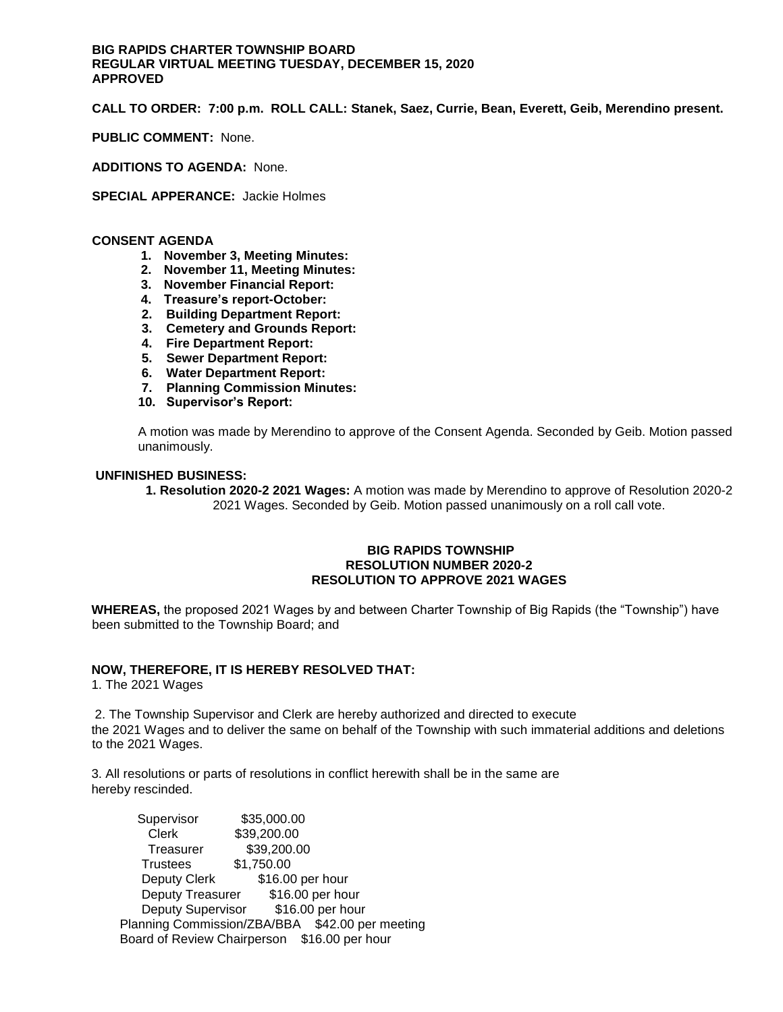# **BIG RAPIDS CHARTER TOWNSHIP BOARD REGULAR VIRTUAL MEETING TUESDAY, DECEMBER 15, 2020 APPROVED**

**CALL TO ORDER: 7:00 p.m. ROLL CALL: Stanek, Saez, Currie, Bean, Everett, Geib, Merendino present.** 

**PUBLIC COMMENT:** None.

**ADDITIONS TO AGENDA:** None.

**SPECIAL APPERANCE:** Jackie Holmes

### **CONSENT AGENDA**

- **1. November 3, Meeting Minutes:**
- **2. November 11, Meeting Minutes:**
- **3. November Financial Report:**
- **4. Treasure's report-October:**
- **2. Building Department Report:**
- **3. Cemetery and Grounds Report:**
- **4. Fire Department Report:**
- **5. Sewer Department Report:**
- **6. Water Department Report:**
- **7. Planning Commission Minutes:**
- **10. Supervisor's Report:**

A motion was made by Merendino to approve of the Consent Agenda. Seconded by Geib. Motion passed unanimously.

### **UNFINISHED BUSINESS:**

**1. Resolution 2020-2 2021 Wages:** A motion was made by Merendino to approve of Resolution 2020-2 2021 Wages. Seconded by Geib. Motion passed unanimously on a roll call vote.

### **BIG RAPIDS TOWNSHIP RESOLUTION NUMBER 2020-2 RESOLUTION TO APPROVE 2021 WAGES**

**WHEREAS,** the proposed 2021 Wages by and between Charter Township of Big Rapids (the "Township") have been submitted to the Township Board; and

## **NOW, THEREFORE, IT IS HEREBY RESOLVED THAT:**

1. The 2021 Wages

2. The Township Supervisor and Clerk are hereby authorized and directed to execute the 2021 Wages and to deliver the same on behalf of the Township with such immaterial additions and deletions to the 2021 Wages.

3. All resolutions or parts of resolutions in conflict herewith shall be in the same are hereby rescinded.

Supervisor \$35,000.00<br>Clerk \$39,200.00 Clerk \$39,200.00 Treasurer \$39,200.00 Trustees \$1,750.00 Deputy Clerk \$16.00 per hour Deputy Treasurer \$16.00 per hour Deputy Supervisor \$16.00 per hour Planning Commission/ZBA/BBA \$42.00 per meeting Board of Review Chairperson \$16.00 per hour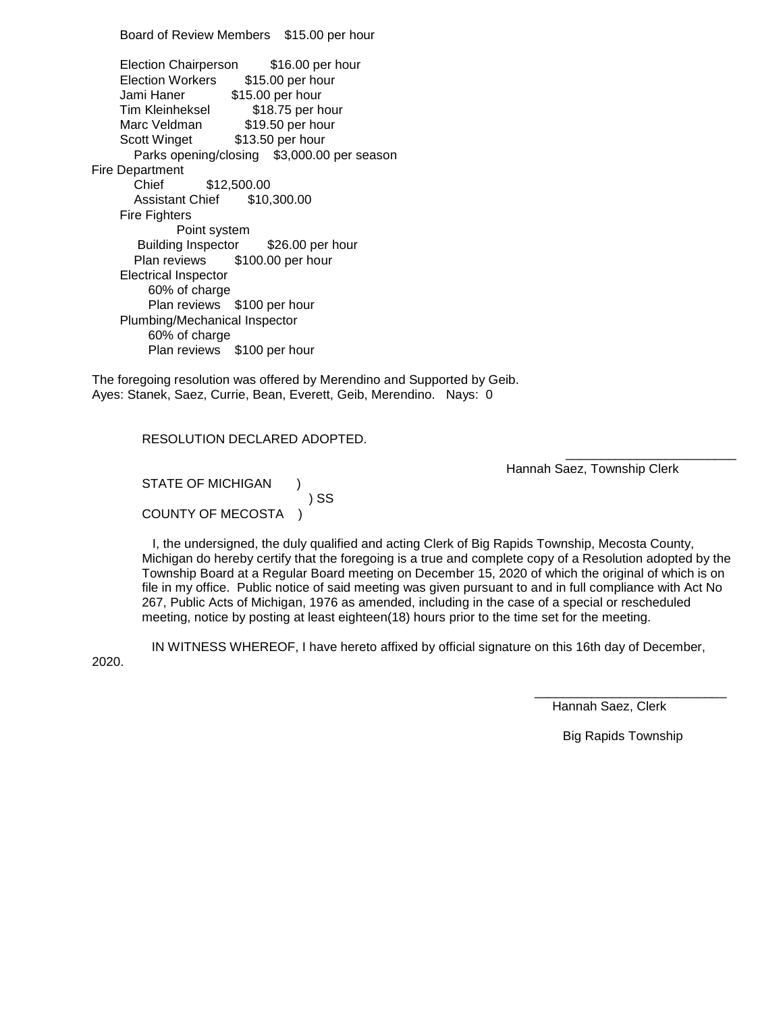Board of Review Members \$15.00 per hour Election Chairperson \$16.00 per hour Election Workers \$15.00 per hour Jami Haner \$15.00 per hour Tim Kleinheksel \$18.75 per hour Marc Veldman \$19.50 per hour Scott Winget \$13.50 per hour Parks opening/closing \$3,000.00 per season Fire Department Chief \$12,500.00 Assistant Chief \$10,300.00 Fire Fighters Point system Building Inspector \$26.00 per hour Plan reviews \$100.00 per hour Electrical Inspector 60% of charge Plan reviews \$100 per hour Plumbing/Mechanical Inspector 60% of charge Plan reviews \$100 per hour

The foregoing resolution was offered by Merendino and Supported by Geib. Ayes: Stanek, Saez, Currie, Bean, Everett, Geib, Merendino. Nays: 0

RESOLUTION DECLARED ADOPTED.

STATE OF MICHIGAN ) ) SS COUNTY OF MECOSTA )

Hannah Saez, Township Clerk

 I, the undersigned, the duly qualified and acting Clerk of Big Rapids Township, Mecosta County, Michigan do hereby certify that the foregoing is a true and complete copy of a Resolution adopted by the Township Board at a Regular Board meeting on December 15, 2020 of which the original of which is on file in my office. Public notice of said meeting was given pursuant to and in full compliance with Act No 267, Public Acts of Michigan, 1976 as amended, including in the case of a special or rescheduled meeting, notice by posting at least eighteen(18) hours prior to the time set for the meeting.

 $\overline{\phantom{a}}$  , and the contract of the contract of the contract of the contract of the contract of the contract of the contract of the contract of the contract of the contract of the contract of the contract of the contrac

 IN WITNESS WHEREOF, I have hereto affixed by official signature on this 16th day of December, 2020.

Hannah Saez, Clerk

Big Rapids Township

\_\_\_\_\_\_\_\_\_\_\_\_\_\_\_\_\_\_\_\_\_\_\_\_\_\_\_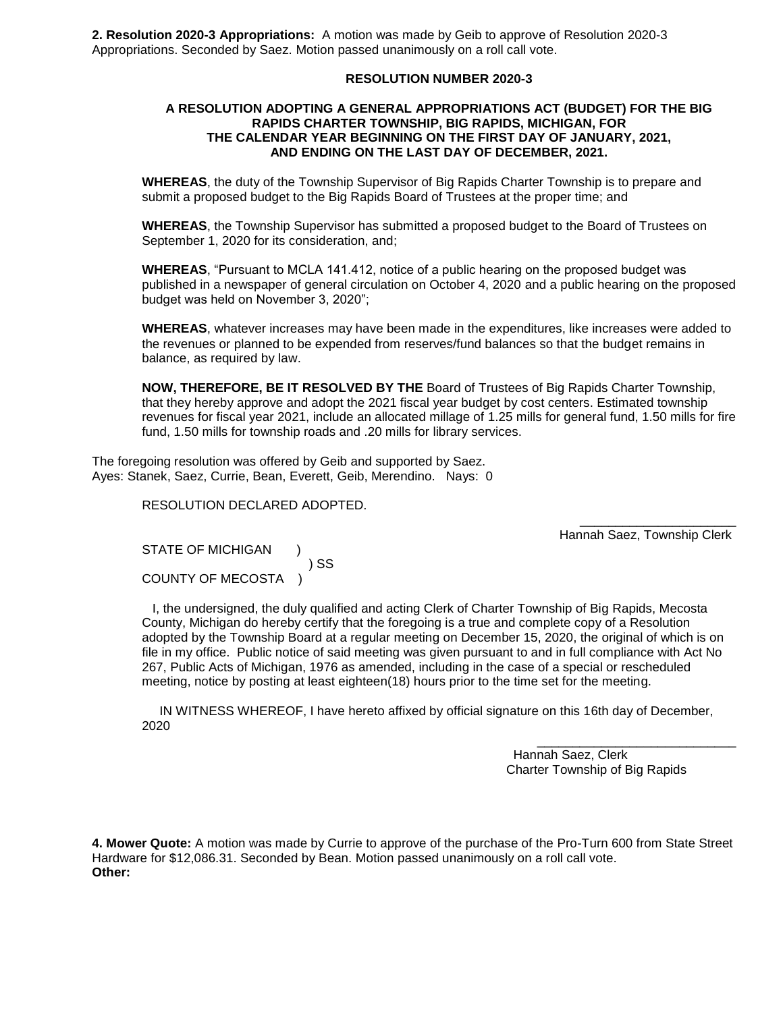**2. Resolution 2020-3 Appropriations:** A motion was made by Geib to approve of Resolution 2020-3 Appropriations. Seconded by Saez. Motion passed unanimously on a roll call vote.

## **RESOLUTION NUMBER 2020-3**

### **A RESOLUTION ADOPTING A GENERAL APPROPRIATIONS ACT (BUDGET) FOR THE BIG RAPIDS CHARTER TOWNSHIP, BIG RAPIDS, MICHIGAN, FOR THE CALENDAR YEAR BEGINNING ON THE FIRST DAY OF JANUARY, 2021, AND ENDING ON THE LAST DAY OF DECEMBER, 2021.**

**WHEREAS**, the duty of the Township Supervisor of Big Rapids Charter Township is to prepare and submit a proposed budget to the Big Rapids Board of Trustees at the proper time; and

**WHEREAS**, the Township Supervisor has submitted a proposed budget to the Board of Trustees on September 1, 2020 for its consideration, and;

**WHEREAS**, "Pursuant to MCLA 141.412, notice of a public hearing on the proposed budget was published in a newspaper of general circulation on October 4, 2020 and a public hearing on the proposed budget was held on November 3, 2020";

**WHEREAS**, whatever increases may have been made in the expenditures, like increases were added to the revenues or planned to be expended from reserves/fund balances so that the budget remains in balance, as required by law.

**NOW, THEREFORE, BE IT RESOLVED BY THE** Board of Trustees of Big Rapids Charter Township, that they hereby approve and adopt the 2021 fiscal year budget by cost centers. Estimated township revenues for fiscal year 2021, include an allocated millage of 1.25 mills for general fund, 1.50 mills for fire fund, 1.50 mills for township roads and .20 mills for library services.

 $\overline{\phantom{a}}$  , and the contract of the contract of the contract of the contract of the contract of the contract of the contract of the contract of the contract of the contract of the contract of the contract of the contrac

 $\frac{1}{2}$  , and the set of the set of the set of the set of the set of the set of the set of the set of the set of the set of the set of the set of the set of the set of the set of the set of the set of the set of the set

The foregoing resolution was offered by Geib and supported by Saez. Ayes: Stanek, Saez, Currie, Bean, Everett, Geib, Merendino. Nays: 0

RESOLUTION DECLARED ADOPTED.

Hannah Saez, Township Clerk

STATE OF MICHIGAN ) ) SS COUNTY OF MECOSTA )

 I, the undersigned, the duly qualified and acting Clerk of Charter Township of Big Rapids, Mecosta County, Michigan do hereby certify that the foregoing is a true and complete copy of a Resolution adopted by the Township Board at a regular meeting on December 15, 2020, the original of which is on file in my office. Public notice of said meeting was given pursuant to and in full compliance with Act No 267, Public Acts of Michigan, 1976 as amended, including in the case of a special or rescheduled meeting, notice by posting at least eighteen(18) hours prior to the time set for the meeting.

 IN WITNESS WHEREOF, I have hereto affixed by official signature on this 16th day of December, 2020

> Hannah Saez, Clerk Charter Township of Big Rapids

**4. Mower Quote:** A motion was made by Currie to approve of the purchase of the Pro-Turn 600 from State Street Hardware for \$12,086.31. Seconded by Bean. Motion passed unanimously on a roll call vote. **Other:**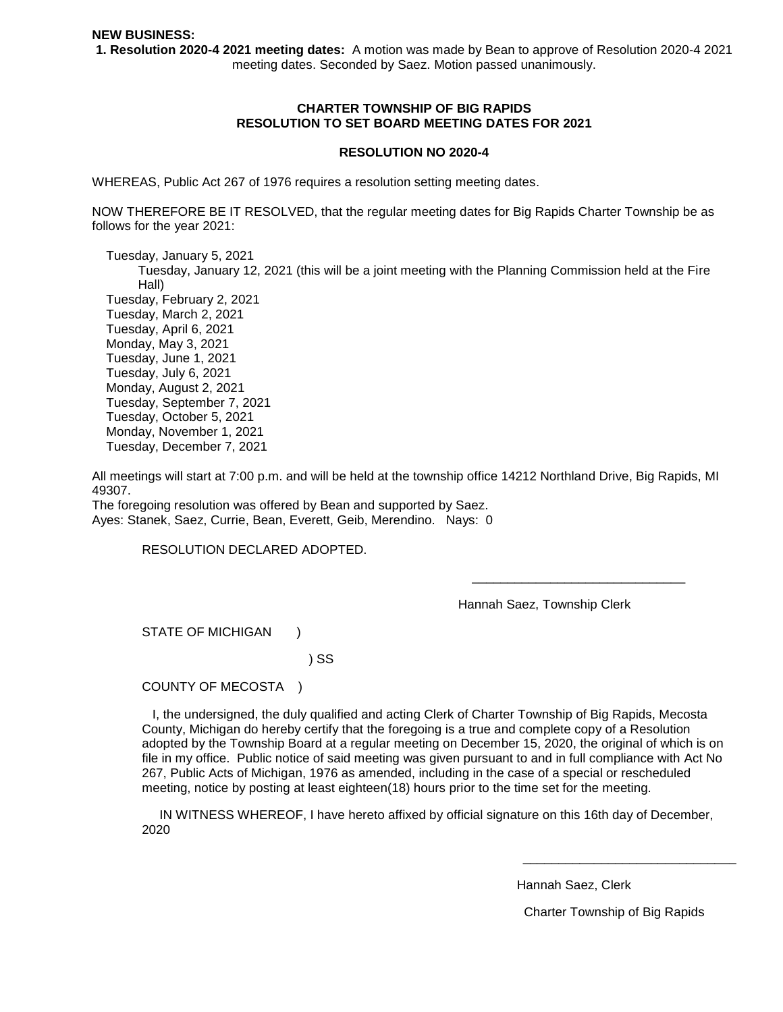**1. Resolution 2020-4 2021 meeting dates:** A motion was made by Bean to approve of Resolution 2020-4 2021 meeting dates. Seconded by Saez. Motion passed unanimously.

## **CHARTER TOWNSHIP OF BIG RAPIDS RESOLUTION TO SET BOARD MEETING DATES FOR 2021**

#### **RESOLUTION NO 2020-4**

WHEREAS, Public Act 267 of 1976 requires a resolution setting meeting dates.

NOW THEREFORE BE IT RESOLVED, that the regular meeting dates for Big Rapids Charter Township be as follows for the year 2021:

 Tuesday, January 5, 2021 Tuesday, January 12, 2021 (this will be a joint meeting with the Planning Commission held at the Fire Hall) Tuesday, February 2, 2021 Tuesday, March 2, 2021 Tuesday, April 6, 2021 Monday, May 3, 2021 Tuesday, June 1, 2021 Tuesday, July 6, 2021 Monday, August 2, 2021 Tuesday, September 7, 2021 Tuesday, October 5, 2021 Monday, November 1, 2021 Tuesday, December 7, 2021

All meetings will start at 7:00 p.m. and will be held at the township office 14212 Northland Drive, Big Rapids, MI 49307.

 $\overline{\phantom{a}}$  , and the contract of the contract of the contract of the contract of the contract of the contract of the contract of the contract of the contract of the contract of the contract of the contract of the contrac

The foregoing resolution was offered by Bean and supported by Saez. Ayes: Stanek, Saez, Currie, Bean, Everett, Geib, Merendino. Nays: 0

RESOLUTION DECLARED ADOPTED.

Hannah Saez, Township Clerk

STATE OF MICHIGAN )

) SS

COUNTY OF MECOSTA )

 I, the undersigned, the duly qualified and acting Clerk of Charter Township of Big Rapids, Mecosta County, Michigan do hereby certify that the foregoing is a true and complete copy of a Resolution adopted by the Township Board at a regular meeting on December 15, 2020, the original of which is on file in my office. Public notice of said meeting was given pursuant to and in full compliance with Act No 267, Public Acts of Michigan, 1976 as amended, including in the case of a special or rescheduled meeting, notice by posting at least eighteen(18) hours prior to the time set for the meeting.

 IN WITNESS WHEREOF, I have hereto affixed by official signature on this 16th day of December, 2020

 $\frac{1}{2}$  , and the state of the state of the state of the state of the state of the state of the state of the state of the state of the state of the state of the state of the state of the state of the state of the state

Hannah Saez, Clerk

Charter Township of Big Rapids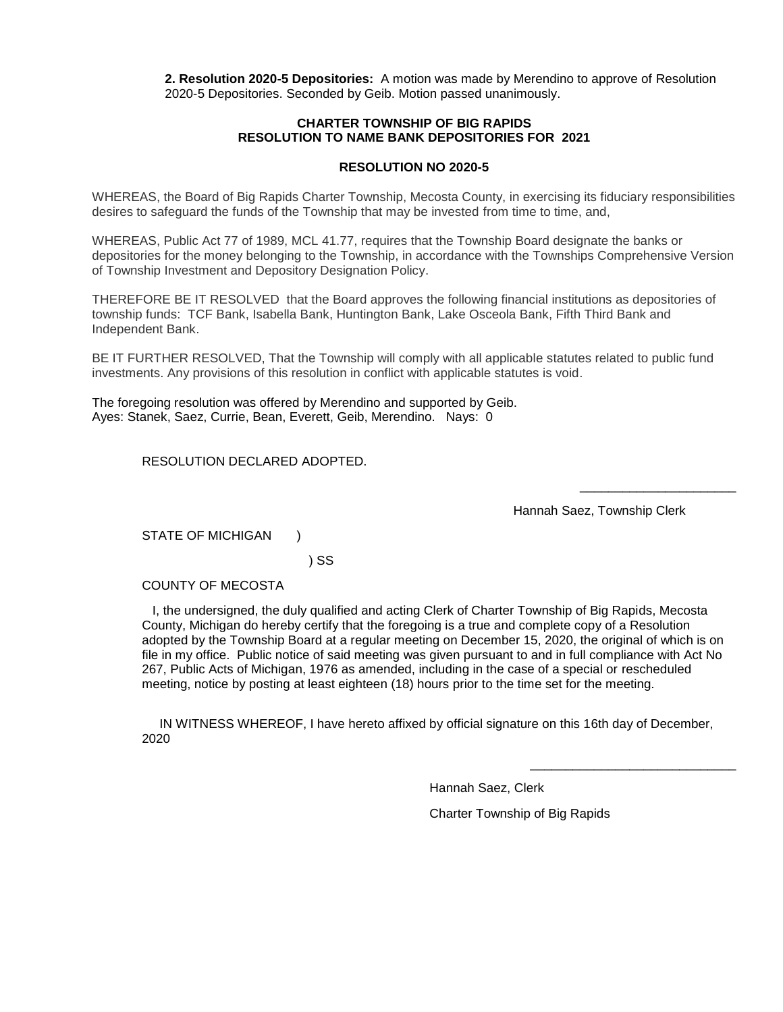**2. Resolution 2020-5 Depositories:** A motion was made by Merendino to approve of Resolution 2020-5 Depositories. Seconded by Geib. Motion passed unanimously.

# **CHARTER TOWNSHIP OF BIG RAPIDS RESOLUTION TO NAME BANK DEPOSITORIES FOR 2021**

## **RESOLUTION NO 2020-5**

WHEREAS, the Board of Big Rapids Charter Township, Mecosta County, in exercising its fiduciary responsibilities desires to safeguard the funds of the Township that may be invested from time to time, and,

WHEREAS, Public Act 77 of 1989, MCL 41.77, requires that the Township Board designate the banks or depositories for the money belonging to the Township, in accordance with the Townships Comprehensive Version of Township Investment and Depository Designation Policy.

THEREFORE BE IT RESOLVED that the Board approves the following financial institutions as depositories of township funds: TCF Bank, Isabella Bank, Huntington Bank, Lake Osceola Bank, Fifth Third Bank and Independent Bank.

BE IT FURTHER RESOLVED, That the Township will comply with all applicable statutes related to public fund investments. Any provisions of this resolution in conflict with applicable statutes is void.

The foregoing resolution was offered by Merendino and supported by Geib. Ayes: Stanek, Saez, Currie, Bean, Everett, Geib, Merendino. Nays: 0

RESOLUTION DECLARED ADOPTED.

Hannah Saez, Township Clerk

STATE OF MICHIGAN )

) SS

COUNTY OF MECOSTA

 I, the undersigned, the duly qualified and acting Clerk of Charter Township of Big Rapids, Mecosta County, Michigan do hereby certify that the foregoing is a true and complete copy of a Resolution adopted by the Township Board at a regular meeting on December 15, 2020, the original of which is on file in my office. Public notice of said meeting was given pursuant to and in full compliance with Act No 267, Public Acts of Michigan, 1976 as amended, including in the case of a special or rescheduled meeting, notice by posting at least eighteen (18) hours prior to the time set for the meeting.

 IN WITNESS WHEREOF, I have hereto affixed by official signature on this 16th day of December, 2020

Hannah Saez, Clerk

 $\frac{1}{\sqrt{2}}$  , and the set of the set of the set of the set of the set of the set of the set of the set of the set of the set of the set of the set of the set of the set of the set of the set of the set of the set of the

 $\overline{\phantom{a}}$  , which is a set of the set of the set of the set of the set of the set of the set of the set of the set of the set of the set of the set of the set of the set of the set of the set of the set of the set of th

Charter Township of Big Rapids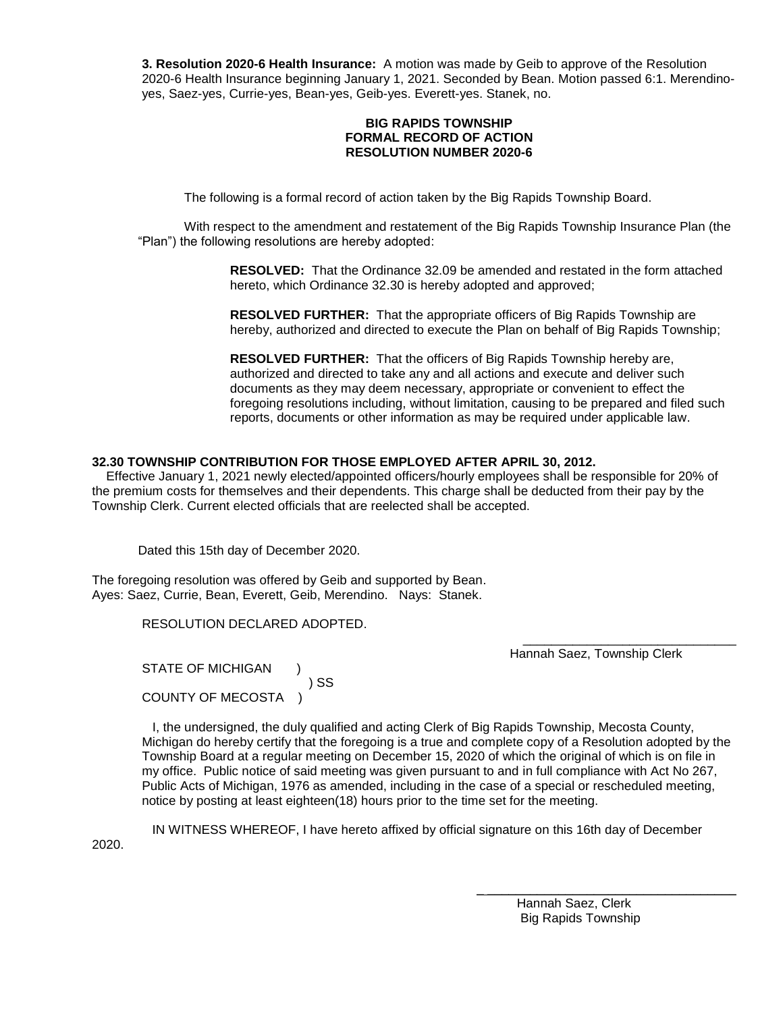**3. Resolution 2020-6 Health Insurance:** A motion was made by Geib to approve of the Resolution 2020-6 Health Insurance beginning January 1, 2021. Seconded by Bean. Motion passed 6:1. Merendinoyes, Saez-yes, Currie-yes, Bean-yes, Geib-yes. Everett-yes. Stanek, no.

# **BIG RAPIDS TOWNSHIP FORMAL RECORD OF ACTION RESOLUTION NUMBER 2020-6**

The following is a formal record of action taken by the Big Rapids Township Board.

With respect to the amendment and restatement of the Big Rapids Township Insurance Plan (the "Plan") the following resolutions are hereby adopted:

> **RESOLVED:** That the Ordinance 32.09 be amended and restated in the form attached hereto, which Ordinance 32.30 is hereby adopted and approved;

> **RESOLVED FURTHER:** That the appropriate officers of Big Rapids Township are hereby, authorized and directed to execute the Plan on behalf of Big Rapids Township;

> **RESOLVED FURTHER:** That the officers of Big Rapids Township hereby are, authorized and directed to take any and all actions and execute and deliver such documents as they may deem necessary, appropriate or convenient to effect the foregoing resolutions including, without limitation, causing to be prepared and filed such reports, documents or other information as may be required under applicable law.

# **32.30 TOWNSHIP CONTRIBUTION FOR THOSE EMPLOYED AFTER APRIL 30, 2012.**

Effective January 1, 2021 newly elected/appointed officers/hourly employees shall be responsible for 20% of the premium costs for themselves and their dependents. This charge shall be deducted from their pay by the Township Clerk. Current elected officials that are reelected shall be accepted.

Dated this 15th day of December 2020.

The foregoing resolution was offered by Geib and supported by Bean. Ayes: Saez, Currie, Bean, Everett, Geib, Merendino. Nays: Stanek.

RESOLUTION DECLARED ADOPTED.

Hannah Saez, Township Clerk

STATE OF MICHIGAN ) ) SS COUNTY OF MECOSTA )

 I, the undersigned, the duly qualified and acting Clerk of Big Rapids Township, Mecosta County, Michigan do hereby certify that the foregoing is a true and complete copy of a Resolution adopted by the Township Board at a regular meeting on December 15, 2020 of which the original of which is on file in my office. Public notice of said meeting was given pursuant to and in full compliance with Act No 267, Public Acts of Michigan, 1976 as amended, including in the case of a special or rescheduled meeting, notice by posting at least eighteen(18) hours prior to the time set for the meeting.

 $\overline{\phantom{a}}$  , and the state of the state of the state of the state of the state of the state of the state of the state of the state of the state of the state of the state of the state of the state of the state of the stat

 IN WITNESS WHEREOF, I have hereto affixed by official signature on this 16th day of December 2020.

> $\overline{\phantom{a}}$  ,  $\overline{\phantom{a}}$  ,  $\overline{\phantom{a}}$  ,  $\overline{\phantom{a}}$  ,  $\overline{\phantom{a}}$  ,  $\overline{\phantom{a}}$  ,  $\overline{\phantom{a}}$  ,  $\overline{\phantom{a}}$  ,  $\overline{\phantom{a}}$  ,  $\overline{\phantom{a}}$  ,  $\overline{\phantom{a}}$  ,  $\overline{\phantom{a}}$  ,  $\overline{\phantom{a}}$  ,  $\overline{\phantom{a}}$  ,  $\overline{\phantom{a}}$  ,  $\overline{\phantom{a}}$  Hannah Saez, Clerk Big Rapids Township